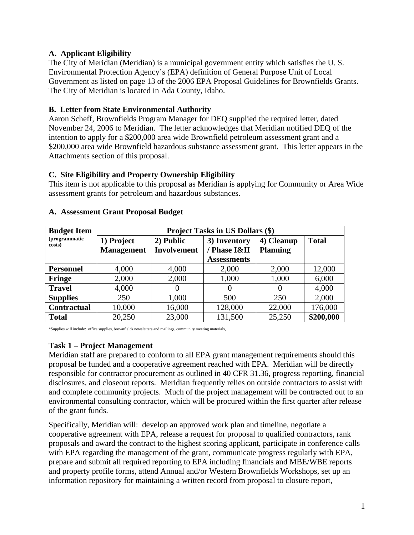## **A. Applicant Eligibility**

The City of Meridian (Meridian) is a municipal government entity which satisfies the U. S. Environmental Protection Agency's (EPA) definition of General Purpose Unit of Local Government as listed on page 13 of the 2006 EPA Proposal Guidelines for Brownfields Grants. The City of Meridian is located in Ada County, Idaho.

### **B. Letter from State Environmental Authority**

Aaron Scheff, Brownfields Program Manager for DEQ supplied the required letter, dated November 24, 2006 to Meridian. The letter acknowledges that Meridian notified DEQ of the intention to apply for a \$200,000 area wide Brownfield petroleum assessment grant and a \$200,000 area wide Brownfield hazardous substance assessment grant. This letter appears in the Attachments section of this proposal.

## **C. Site Eligibility and Property Ownership Eligibility**

This item is not applicable to this proposal as Meridian is applying for Community or Area Wide assessment grants for petroleum and hazardous substances.

| <b>Budget Item</b>      | <b>Project Tasks in US Dollars (\$)</b> |                    |                    |                 |              |
|-------------------------|-----------------------------------------|--------------------|--------------------|-----------------|--------------|
| (programmatic<br>costs) | 1) Project                              | 2) Public          | 3) Inventory       | 4) Cleanup      | <b>Total</b> |
|                         | <b>Management</b>                       | <b>Involvement</b> | / Phase I&II       | <b>Planning</b> |              |
|                         |                                         |                    | <b>Assessments</b> |                 |              |
| <b>Personnel</b>        | 4,000                                   | 4,000              | 2,000              | 2,000           | 12,000       |
| Fringe                  | 2,000                                   | 2,000              | 1,000              | 1,000           | 6,000        |
| <b>Travel</b>           | 4,000                                   |                    | $\theta$           | $\theta$        | 4,000        |
| <b>Supplies</b>         | 250                                     | 1,000              | 500                | 250             | 2,000        |
| <b>Contractual</b>      | 10,000                                  | 16,000             | 128,000            | 22,000          | 176,000      |
| <b>Total</b>            | 20,250                                  | 23,000             | 131,500            | 25,250          | \$200,000    |

#### **A. Assessment Grant Proposal Budget**

\*Supplies will include: office supplies, brownfields newsletters and mailings, community meeting materials,

#### **Task 1 – Project Management**

Meridian staff are prepared to conform to all EPA grant management requirements should this proposal be funded and a cooperative agreement reached with EPA. Meridian will be directly responsible for contractor procurement as outlined in 40 CFR 31.36, progress reporting, financial disclosures, and closeout reports. Meridian frequently relies on outside contractors to assist with and complete community projects. Much of the project management will be contracted out to an environmental consulting contractor, which will be procured within the first quarter after release of the grant funds.

Specifically, Meridian will: develop an approved work plan and timeline, negotiate a cooperative agreement with EPA, release a request for proposal to qualified contractors, rank proposals and award the contract to the highest scoring applicant, participate in conference calls with EPA regarding the management of the grant, communicate progress regularly with EPA, prepare and submit all required reporting to EPA including financials and MBE/WBE reports and property profile forms, attend Annual and/or Western Brownfields Workshops, set up an information repository for maintaining a written record from proposal to closure report,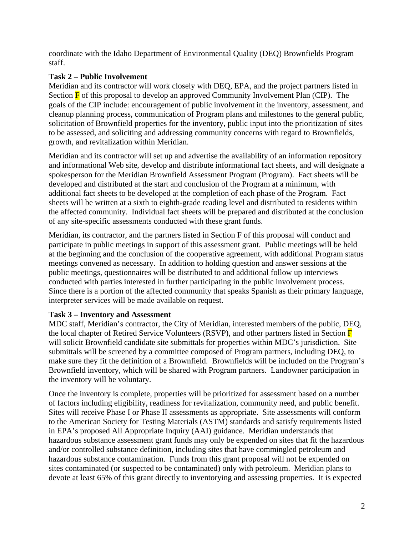coordinate with the Idaho Department of Environmental Quality (DEQ) Brownfields Program staff.

# **Task 2 – Public Involvement**

Meridian and its contractor will work closely with DEQ, EPA, and the project partners listed in Section  $\overline{F}$  of this proposal to develop an approved Community Involvement Plan (CIP). The goals of the CIP include: encouragement of public involvement in the inventory, assessment, and cleanup planning process, communication of Program plans and milestones to the general public, solicitation of Brownfield properties for the inventory, public input into the prioritization of sites to be assessed, and soliciting and addressing community concerns with regard to Brownfields, growth, and revitalization within Meridian.

Meridian and its contractor will set up and advertise the availability of an information repository and informational Web site, develop and distribute informational fact sheets, and will designate a spokesperson for the Meridian Brownfield Assessment Program (Program). Fact sheets will be developed and distributed at the start and conclusion of the Program at a minimum, with additional fact sheets to be developed at the completion of each phase of the Program. Fact sheets will be written at a sixth to eighth-grade reading level and distributed to residents within the affected community. Individual fact sheets will be prepared and distributed at the conclusion of any site-specific assessments conducted with these grant funds.

Meridian, its contractor, and the partners listed in Section F of this proposal will conduct and participate in public meetings in support of this assessment grant. Public meetings will be held at the beginning and the conclusion of the cooperative agreement, with additional Program status meetings convened as necessary. In addition to holding question and answer sessions at the public meetings, questionnaires will be distributed to and additional follow up interviews conducted with parties interested in further participating in the public involvement process. Since there is a portion of the affected community that speaks Spanish as their primary language, interpreter services will be made available on request.

#### **Task 3 – Inventory and Assessment**

MDC staff, Meridian's contractor, the City of Meridian, interested members of the public, DEQ, the local chapter of Retired Service Volunteers (RSVP), and other partners listed in Section F will solicit Brownfield candidate site submittals for properties within MDC's jurisdiction. Site submittals will be screened by a committee composed of Program partners, including DEQ, to make sure they fit the definition of a Brownfield. Brownfields will be included on the Program's Brownfield inventory, which will be shared with Program partners. Landowner participation in the inventory will be voluntary.

Once the inventory is complete, properties will be prioritized for assessment based on a number of factors including eligibility, readiness for revitalization, community need, and public benefit. Sites will receive Phase I or Phase II assessments as appropriate. Site assessments will conform to the American Society for Testing Materials (ASTM) standards and satisfy requirements listed in EPA's proposed All Appropriate Inquiry (AAI) guidance. Meridian understands that hazardous substance assessment grant funds may only be expended on sites that fit the hazardous and/or controlled substance definition, including sites that have commingled petroleum and hazardous substance contamination. Funds from this grant proposal will not be expended on sites contaminated (or suspected to be contaminated) only with petroleum. Meridian plans to devote at least 65% of this grant directly to inventorying and assessing properties. It is expected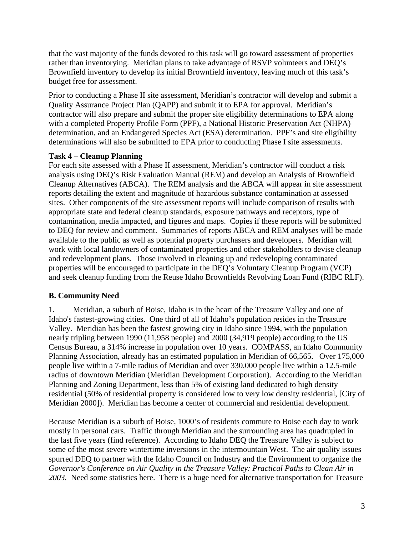that the vast majority of the funds devoted to this task will go toward assessment of properties rather than inventorying. Meridian plans to take advantage of RSVP volunteers and DEQ's Brownfield inventory to develop its initial Brownfield inventory, leaving much of this task's budget free for assessment.

Prior to conducting a Phase II site assessment, Meridian's contractor will develop and submit a Quality Assurance Project Plan (QAPP) and submit it to EPA for approval. Meridian's contractor will also prepare and submit the proper site eligibility determinations to EPA along with a completed Property Profile Form (PPF), a National Historic Preservation Act (NHPA) determination, and an Endangered Species Act (ESA) determination. PPF's and site eligibility determinations will also be submitted to EPA prior to conducting Phase I site assessments.

#### **Task 4 – Cleanup Planning**

For each site assessed with a Phase II assessment, Meridian's contractor will conduct a risk analysis using DEQ's Risk Evaluation Manual (REM) and develop an Analysis of Brownfield Cleanup Alternatives (ABCA). The REM analysis and the ABCA will appear in site assessment reports detailing the extent and magnitude of hazardous substance contamination at assessed sites. Other components of the site assessment reports will include comparison of results with appropriate state and federal cleanup standards, exposure pathways and receptors, type of contamination, media impacted, and figures and maps. Copies if these reports will be submitted to DEQ for review and comment. Summaries of reports ABCA and REM analyses will be made available to the public as well as potential property purchasers and developers. Meridian will work with local landowners of contaminated properties and other stakeholders to devise cleanup and redevelopment plans. Those involved in cleaning up and redeveloping contaminated properties will be encouraged to participate in the DEQ's Voluntary Cleanup Program (VCP) and seek cleanup funding from the Reuse Idaho Brownfields Revolving Loan Fund (RIBC RLF).

# **B. Community Need**

1. Meridian, a suburb of Boise, Idaho is in the heart of the Treasure Valley and one of Idaho's fastest-growing cities. One third of all of Idaho's population resides in the Treasure Valley. Meridian has been the fastest growing city in Idaho since 1994, with the population nearly tripling between 1990 (11,958 people) and 2000 (34,919 people) according to the US Census Bureau, a 314% increase in population over 10 years. COMPASS, an Idaho Community Planning Association, already has an estimated population in Meridian of 66,565. Over 175,000 people live within a 7-mile radius of Meridian and over 330,000 people live within a 12.5-mile radius of downtown Meridian (Meridian Development Corporation). According to the Meridian Planning and Zoning Department, less than 5% of existing land dedicated to high density residential (50% of residential property is considered low to very low density residential, [City of Meridian 2000]). Meridian has become a center of commercial and residential development.

Because Meridian is a suburb of Boise, 1000's of residents commute to Boise each day to work mostly in personal cars. Traffic through Meridian and the surrounding area has quadrupled in the last five years (find reference). According to Idaho DEQ the Treasure Valley is subject to some of the most severe wintertime inversions in the intermountain West. The air quality issues spurred DEQ to partner with the Idaho Council on Industry and the Environment to organize the *Governor's Conference on Air Quality in the Treasure Valley: Practical Paths to Clean Air in 2003.* Need some statistics here. There is a huge need for alternative transportation for Treasure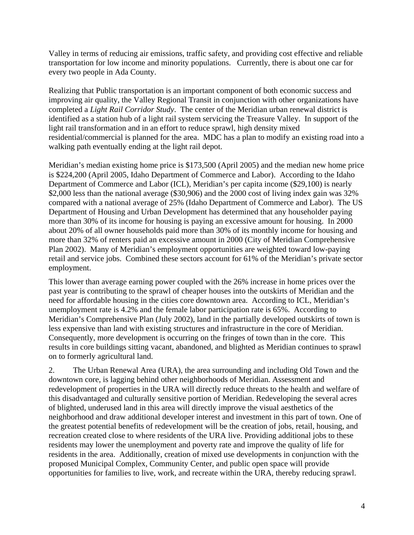Valley in terms of reducing air emissions, traffic safety, and providing cost effective and reliable transportation for low income and minority populations. Currently, there is about one car for every two people in Ada County.

Realizing that Public transportation is an important component of both economic success and improving air quality, the Valley Regional Transit in conjunction with other organizations have completed a *Light Rail Corridor Study*. The center of the Meridian urban renewal district is identified as a station hub of a light rail system servicing the Treasure Valley. In support of the light rail transformation and in an effort to reduce sprawl, high density mixed residential/commercial is planned for the area. MDC has a plan to modify an existing road into a walking path eventually ending at the light rail depot.

Meridian's median existing home price is \$173,500 (April 2005) and the median new home price is \$224,200 (April 2005, Idaho Department of Commerce and Labor). According to the Idaho Department of Commerce and Labor (ICL), Meridian's per capita income (\$29,100) is nearly \$2,000 less than the national average (\$30,906) and the 2000 cost of living index gain was 32% compared with a national average of 25% (Idaho Department of Commerce and Labor). The US Department of Housing and Urban Development has determined that any householder paying more than 30% of its income for housing is paying an excessive amount for housing. In 2000 about 20% of all owner households paid more than 30% of its monthly income for housing and more than 32% of renters paid an excessive amount in 2000 (City of Meridian Comprehensive Plan 2002). Many of Meridian's employment opportunities are weighted toward low-paying retail and service jobs. Combined these sectors account for 61% of the Meridian's private sector employment.

This lower than average earning power coupled with the 26% increase in home prices over the past year is contributing to the sprawl of cheaper houses into the outskirts of Meridian and the need for affordable housing in the cities core downtown area. According to ICL, Meridian's unemployment rate is 4.2% and the female labor participation rate is 65%. According to Meridian's Comprehensive Plan (July 2002), land in the partially developed outskirts of town is less expensive than land with existing structures and infrastructure in the core of Meridian. Consequently, more development is occurring on the fringes of town than in the core. This results in core buildings sitting vacant, abandoned, and blighted as Meridian continues to sprawl on to formerly agricultural land.

2. The Urban Renewal Area (URA), the area surrounding and including Old Town and the downtown core, is lagging behind other neighborhoods of Meridian. Assessment and redevelopment of properties in the URA will directly reduce threats to the health and welfare of this disadvantaged and culturally sensitive portion of Meridian. Redeveloping the several acres of blighted, underused land in this area will directly improve the visual aesthetics of the neighborhood and draw additional developer interest and investment in this part of town. One of the greatest potential benefits of redevelopment will be the creation of jobs, retail, housing, and recreation created close to where residents of the URA live. Providing additional jobs to these residents may lower the unemployment and poverty rate and improve the quality of life for residents in the area. Additionally, creation of mixed use developments in conjunction with the proposed Municipal Complex, Community Center, and public open space will provide opportunities for families to live, work, and recreate within the URA, thereby reducing sprawl.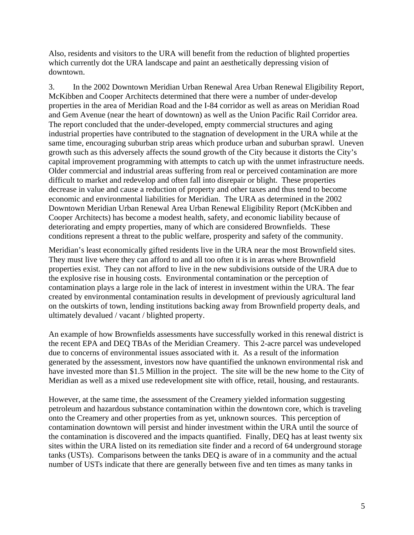Also, residents and visitors to the URA will benefit from the reduction of blighted properties which currently dot the URA landscape and paint an aesthetically depressing vision of downtown.

3. In the 2002 Downtown Meridian Urban Renewal Area Urban Renewal Eligibility Report, McKibben and Cooper Architects determined that there were a number of under-develop properties in the area of Meridian Road and the I-84 corridor as well as areas on Meridian Road and Gem Avenue (near the heart of downtown) as well as the Union Pacific Rail Corridor area. The report concluded that the under-developed, empty commercial structures and aging industrial properties have contributed to the stagnation of development in the URA while at the same time, encouraging suburban strip areas which produce urban and suburban sprawl. Uneven growth such as this adversely affects the sound growth of the City because it distorts the City's capital improvement programming with attempts to catch up with the unmet infrastructure needs. Older commercial and industrial areas suffering from real or perceived contamination are more difficult to market and redevelop and often fall into disrepair or blight. These properties decrease in value and cause a reduction of property and other taxes and thus tend to become economic and environmental liabilities for Meridian. The URA as determined in the 2002 Downtown Meridian Urban Renewal Area Urban Renewal Eligibility Report (McKibben and Cooper Architects) has become a modest health, safety, and economic liability because of deteriorating and empty properties, many of which are considered Brownfields. These conditions represent a threat to the public welfare, prosperity and safety of the community.

Meridian's least economically gifted residents live in the URA near the most Brownfield sites. They must live where they can afford to and all too often it is in areas where Brownfield properties exist. They can not afford to live in the new subdivisions outside of the URA due to the explosive rise in housing costs. Environmental contamination or the perception of contamination plays a large role in the lack of interest in investment within the URA. The fear created by environmental contamination results in development of previously agricultural land on the outskirts of town, lending institutions backing away from Brownfield property deals, and ultimately devalued / vacant / blighted property.

An example of how Brownfields assessments have successfully worked in this renewal district is the recent EPA and DEQ TBAs of the Meridian Creamery. This 2-acre parcel was undeveloped due to concerns of environmental issues associated with it. As a result of the information generated by the assessment, investors now have quantified the unknown environmental risk and have invested more than \$1.5 Million in the project. The site will be the new home to the City of Meridian as well as a mixed use redevelopment site with office, retail, housing, and restaurants.

However, at the same time, the assessment of the Creamery yielded information suggesting petroleum and hazardous substance contamination within the downtown core, which is traveling onto the Creamery and other properties from as yet, unknown sources. This perception of contamination downtown will persist and hinder investment within the URA until the source of the contamination is discovered and the impacts quantified. Finally, DEQ has at least twenty six sites within the URA listed on its remediation site finder and a record of 64 underground storage tanks (USTs). Comparisons between the tanks DEQ is aware of in a community and the actual number of USTs indicate that there are generally between five and ten times as many tanks in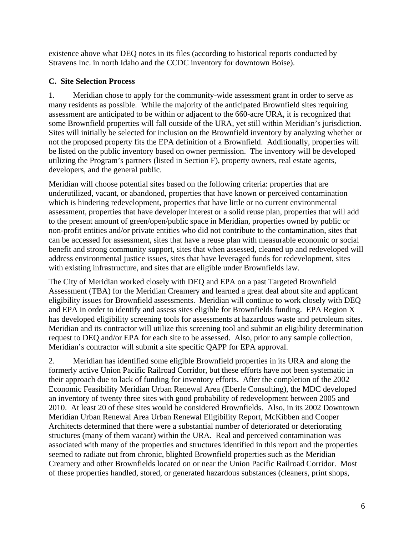existence above what DEQ notes in its files (according to historical reports conducted by Stravens Inc. in north Idaho and the CCDC inventory for downtown Boise).

# **C. Site Selection Process**

1. Meridian chose to apply for the community-wide assessment grant in order to serve as many residents as possible. While the majority of the anticipated Brownfield sites requiring assessment are anticipated to be within or adjacent to the 660-acre URA, it is recognized that some Brownfield properties will fall outside of the URA, yet still within Meridian's jurisdiction. Sites will initially be selected for inclusion on the Brownfield inventory by analyzing whether or not the proposed property fits the EPA definition of a Brownfield. Additionally, properties will be listed on the public inventory based on owner permission. The inventory will be developed utilizing the Program's partners (listed in Section F), property owners, real estate agents, developers, and the general public.

Meridian will choose potential sites based on the following criteria: properties that are underutilized, vacant, or abandoned, properties that have known or perceived contamination which is hindering redevelopment, properties that have little or no current environmental assessment, properties that have developer interest or a solid reuse plan, properties that will add to the present amount of green/open/public space in Meridian, properties owned by public or non-profit entities and/or private entities who did not contribute to the contamination, sites that can be accessed for assessment, sites that have a reuse plan with measurable economic or social benefit and strong community support, sites that when assessed, cleaned up and redeveloped will address environmental justice issues, sites that have leveraged funds for redevelopment, sites with existing infrastructure, and sites that are eligible under Brownfields law.

The City of Meridian worked closely with DEQ and EPA on a past Targeted Brownfield Assessment (TBA) for the Meridian Creamery and learned a great deal about site and applicant eligibility issues for Brownfield assessments. Meridian will continue to work closely with DEQ and EPA in order to identify and assess sites eligible for Brownfields funding. EPA Region X has developed eligibility screening tools for assessments at hazardous waste and petroleum sites. Meridian and its contractor will utilize this screening tool and submit an eligibility determination request to DEQ and/or EPA for each site to be assessed. Also, prior to any sample collection, Meridian's contractor will submit a site specific QAPP for EPA approval.

2. Meridian has identified some eligible Brownfield properties in its URA and along the formerly active Union Pacific Railroad Corridor, but these efforts have not been systematic in their approach due to lack of funding for inventory efforts. After the completion of the 2002 Economic Feasibility Meridian Urban Renewal Area (Eberle Consulting), the MDC developed an inventory of twenty three sites with good probability of redevelopment between 2005 and 2010. At least 20 of these sites would be considered Brownfields. Also, in its 2002 Downtown Meridian Urban Renewal Area Urban Renewal Eligibility Report, McKibben and Cooper Architects determined that there were a substantial number of deteriorated or deteriorating structures (many of them vacant) within the URA. Real and perceived contamination was associated with many of the properties and structures identified in this report and the properties seemed to radiate out from chronic, blighted Brownfield properties such as the Meridian Creamery and other Brownfields located on or near the Union Pacific Railroad Corridor. Most of these properties handled, stored, or generated hazardous substances (cleaners, print shops,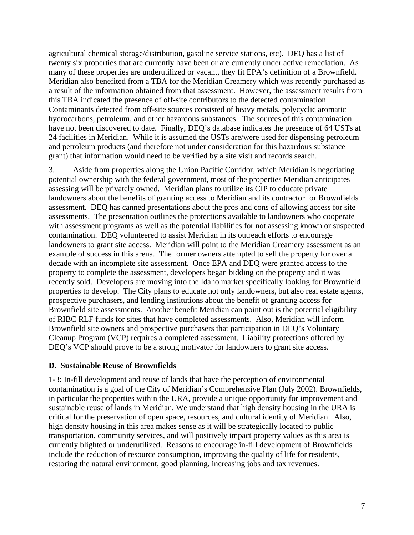agricultural chemical storage/distribution, gasoline service stations, etc). DEQ has a list of twenty six properties that are currently have been or are currently under active remediation. As many of these properties are underutilized or vacant, they fit EPA's definition of a Brownfield. Meridian also benefited from a TBA for the Meridian Creamery which was recently purchased as a result of the information obtained from that assessment. However, the assessment results from this TBA indicated the presence of off-site contributors to the detected contamination. Contaminants detected from off-site sources consisted of heavy metals, polycyclic aromatic hydrocarbons, petroleum, and other hazardous substances. The sources of this contamination have not been discovered to date. Finally, DEQ's database indicates the presence of 64 USTs at 24 facilities in Meridian. While it is assumed the USTs are/were used for dispensing petroleum and petroleum products (and therefore not under consideration for this hazardous substance grant) that information would need to be verified by a site visit and records search.

3. Aside from properties along the Union Pacific Corridor, which Meridian is negotiating potential ownership with the federal government, most of the properties Meridian anticipates assessing will be privately owned. Meridian plans to utilize its CIP to educate private landowners about the benefits of granting access to Meridian and its contractor for Brownfields assessment. DEQ has canned presentations about the pros and cons of allowing access for site assessments. The presentation outlines the protections available to landowners who cooperate with assessment programs as well as the potential liabilities for not assessing known or suspected contamination. DEQ volunteered to assist Meridian in its outreach efforts to encourage landowners to grant site access. Meridian will point to the Meridian Creamery assessment as an example of success in this arena. The former owners attempted to sell the property for over a decade with an incomplete site assessment. Once EPA and DEQ were granted access to the property to complete the assessment, developers began bidding on the property and it was recently sold. Developers are moving into the Idaho market specifically looking for Brownfield properties to develop. The City plans to educate not only landowners, but also real estate agents, prospective purchasers, and lending institutions about the benefit of granting access for Brownfield site assessments. Another benefit Meridian can point out is the potential eligibility of RIBC RLF funds for sites that have completed assessments. Also, Meridian will inform Brownfield site owners and prospective purchasers that participation in DEQ's Voluntary Cleanup Program (VCP) requires a completed assessment. Liability protections offered by DEQ's VCP should prove to be a strong motivator for landowners to grant site access.

#### **D. Sustainable Reuse of Brownfields**

1-3: In-fill development and reuse of lands that have the perception of environmental contamination is a goal of the City of Meridian's Comprehensive Plan (July 2002). Brownfields, in particular the properties within the URA, provide a unique opportunity for improvement and sustainable reuse of lands in Meridian. We understand that high density housing in the URA is critical for the preservation of open space, resources, and cultural identity of Meridian. Also, high density housing in this area makes sense as it will be strategically located to public transportation, community services, and will positively impact property values as this area is currently blighted or underutilized. Reasons to encourage in-fill development of Brownfields include the reduction of resource consumption, improving the quality of life for residents, restoring the natural environment, good planning, increasing jobs and tax revenues.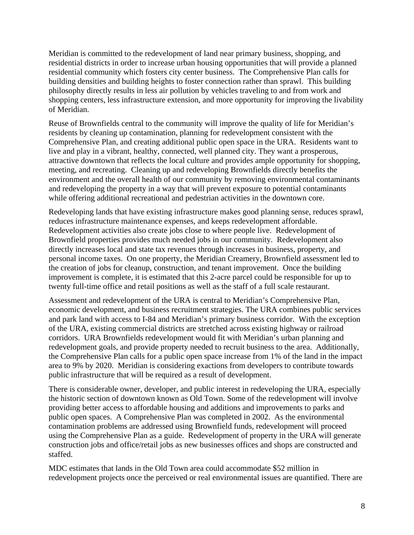Meridian is committed to the redevelopment of land near primary business, shopping, and residential districts in order to increase urban housing opportunities that will provide a planned residential community which fosters city center business. The Comprehensive Plan calls for building densities and building heights to foster connection rather than sprawl. This building philosophy directly results in less air pollution by vehicles traveling to and from work and shopping centers, less infrastructure extension, and more opportunity for improving the livability of Meridian.

Reuse of Brownfields central to the community will improve the quality of life for Meridian's residents by cleaning up contamination, planning for redevelopment consistent with the Comprehensive Plan, and creating additional public open space in the URA. Residents want to live and play in a vibrant, healthy, connected, well planned city. They want a prosperous, attractive downtown that reflects the local culture and provides ample opportunity for shopping, meeting, and recreating. Cleaning up and redeveloping Brownfields directly benefits the environment and the overall health of our community by removing environmental contaminants and redeveloping the property in a way that will prevent exposure to potential contaminants while offering additional recreational and pedestrian activities in the downtown core.

Redeveloping lands that have existing infrastructure makes good planning sense, reduces sprawl, reduces infrastructure maintenance expenses, and keeps redevelopment affordable. Redevelopment activities also create jobs close to where people live. Redevelopment of Brownfield properties provides much needed jobs in our community. Redevelopment also directly increases local and state tax revenues through increases in business, property, and personal income taxes. On one property, the Meridian Creamery, Brownfield assessment led to the creation of jobs for cleanup, construction, and tenant improvement. Once the building improvement is complete, it is estimated that this 2-acre parcel could be responsible for up to twenty full-time office and retail positions as well as the staff of a full scale restaurant.

Assessment and redevelopment of the URA is central to Meridian's Comprehensive Plan, economic development, and business recruitment strategies. The URA combines public services and park land with access to I-84 and Meridian's primary business corridor. With the exception of the URA, existing commercial districts are stretched across existing highway or railroad corridors. URA Brownfields redevelopment would fit with Meridian's urban planning and redevelopment goals, and provide property needed to recruit business to the area. Additionally, the Comprehensive Plan calls for a public open space increase from 1% of the land in the impact area to 9% by 2020. Meridian is considering exactions from developers to contribute towards public infrastructure that will be required as a result of development.

There is considerable owner, developer, and public interest in redeveloping the URA, especially the historic section of downtown known as Old Town. Some of the redevelopment will involve providing better access to affordable housing and additions and improvements to parks and public open spaces. A Comprehensive Plan was completed in 2002. As the environmental contamination problems are addressed using Brownfield funds, redevelopment will proceed using the Comprehensive Plan as a guide. Redevelopment of property in the URA will generate construction jobs and office/retail jobs as new businesses offices and shops are constructed and staffed.

MDC estimates that lands in the Old Town area could accommodate \$52 million in redevelopment projects once the perceived or real environmental issues are quantified. There are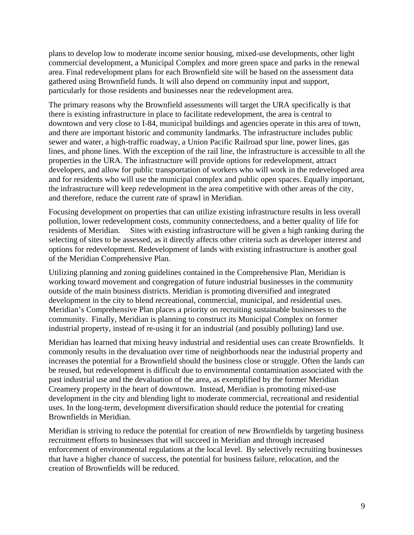plans to develop low to moderate income senior housing, mixed-use developments, other light commercial development, a Municipal Complex and more green space and parks in the renewal area. Final redevelopment plans for each Brownfield site will be based on the assessment data gathered using Brownfield funds. It will also depend on community input and support, particularly for those residents and businesses near the redevelopment area.

The primary reasons why the Brownfield assessments will target the URA specifically is that there is existing infrastructure in place to facilitate redevelopment, the area is central to downtown and very close to I-84, municipal buildings and agencies operate in this area of town, and there are important historic and community landmarks. The infrastructure includes public sewer and water, a high-traffic roadway, a Union Pacific Railroad spur line, power lines, gas lines, and phone lines. With the exception of the rail line, the infrastructure is accessible to all the properties in the URA. The infrastructure will provide options for redevelopment, attract developers, and allow for public transportation of workers who will work in the redeveloped area and for residents who will use the municipal complex and public open spaces. Equally important, the infrastructure will keep redevelopment in the area competitive with other areas of the city, and therefore, reduce the current rate of sprawl in Meridian.

Focusing development on properties that can utilize existing infrastructure results in less overall pollution, lower redevelopment costs, community connectedness, and a better quality of life for residents of Meridian. Sites with existing infrastructure will be given a high ranking during the selecting of sites to be assessed, as it directly affects other criteria such as developer interest and options for redevelopment. Redevelopment of lands with existing infrastructure is another goal of the Meridian Comprehensive Plan.

Utilizing planning and zoning guidelines contained in the Comprehensive Plan, Meridian is working toward movement and congregation of future industrial businesses in the community outside of the main business districts. Meridian is promoting diversified and integrated development in the city to blend recreational, commercial, municipal, and residential uses. Meridian's Comprehensive Plan places a priority on recruiting sustainable businesses to the community. Finally, Meridian is planning to construct its Municipal Complex on former industrial property, instead of re-using it for an industrial (and possibly polluting) land use.

Meridian has learned that mixing heavy industrial and residential uses can create Brownfields. It commonly results in the devaluation over time of neighborhoods near the industrial property and increases the potential for a Brownfield should the business close or struggle. Often the lands can be reused, but redevelopment is difficult due to environmental contamination associated with the past industrial use and the devaluation of the area, as exemplified by the former Meridian Creamery property in the heart of downtown. Instead, Meridian is promoting mixed-use development in the city and blending light to moderate commercial, recreational and residential uses. In the long-term, development diversification should reduce the potential for creating Brownfields in Meridian.

Meridian is striving to reduce the potential for creation of new Brownfields by targeting business recruitment efforts to businesses that will succeed in Meridian and through increased enforcement of environmental regulations at the local level. By selectively recruiting businesses that have a higher chance of success, the potential for business failure, relocation, and the creation of Brownfields will be reduced.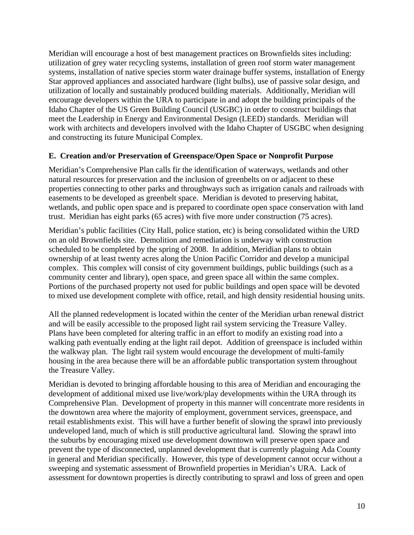Meridian will encourage a host of best management practices on Brownfields sites including: utilization of grey water recycling systems, installation of green roof storm water management systems, installation of native species storm water drainage buffer systems, installation of Energy Star approved appliances and associated hardware (light bulbs), use of passive solar design, and utilization of locally and sustainably produced building materials. Additionally, Meridian will encourage developers within the URA to participate in and adopt the building principals of the Idaho Chapter of the US Green Building Council (USGBC) in order to construct buildings that meet the Leadership in Energy and Environmental Design (LEED) standards. Meridian will work with architects and developers involved with the Idaho Chapter of USGBC when designing and constructing its future Municipal Complex.

#### **E. Creation and/or Preservation of Greenspace/Open Space or Nonprofit Purpose**

Meridian's Comprehensive Plan calls fir the identification of waterways, wetlands and other natural resources for preservation and the inclusion of greenbelts on or adjacent to these properties connecting to other parks and throughways such as irrigation canals and railroads with easements to be developed as greenbelt space. Meridian is devoted to preserving habitat, wetlands, and public open space and is prepared to coordinate open space conservation with land trust. Meridian has eight parks (65 acres) with five more under construction (75 acres).

Meridian's public facilities (City Hall, police station, etc) is being consolidated within the URD on an old Brownfields site. Demolition and remediation is underway with construction scheduled to be completed by the spring of 2008. In addition, Meridian plans to obtain ownership of at least twenty acres along the Union Pacific Corridor and develop a municipal complex. This complex will consist of city government buildings, public buildings (such as a community center and library), open space, and green space all within the same complex. Portions of the purchased property not used for public buildings and open space will be devoted to mixed use development complete with office, retail, and high density residential housing units.

All the planned redevelopment is located within the center of the Meridian urban renewal district and will be easily accessible to the proposed light rail system servicing the Treasure Valley. Plans have been completed for altering traffic in an effort to modify an existing road into a walking path eventually ending at the light rail depot. Addition of greenspace is included within the walkway plan. The light rail system would encourage the development of multi-family housing in the area because there will be an affordable public transportation system throughout the Treasure Valley.

Meridian is devoted to bringing affordable housing to this area of Meridian and encouraging the development of additional mixed use live/work/play developments within the URA through its Comprehensive Plan. Development of property in this manner will concentrate more residents in the downtown area where the majority of employment, government services, greenspace, and retail establishments exist. This will have a further benefit of slowing the sprawl into previously undeveloped land, much of which is still productive agricultural land. Slowing the sprawl into the suburbs by encouraging mixed use development downtown will preserve open space and prevent the type of disconnected, unplanned development that is currently plaguing Ada County in general and Meridian specifically. However, this type of development cannot occur without a sweeping and systematic assessment of Brownfield properties in Meridian's URA. Lack of assessment for downtown properties is directly contributing to sprawl and loss of green and open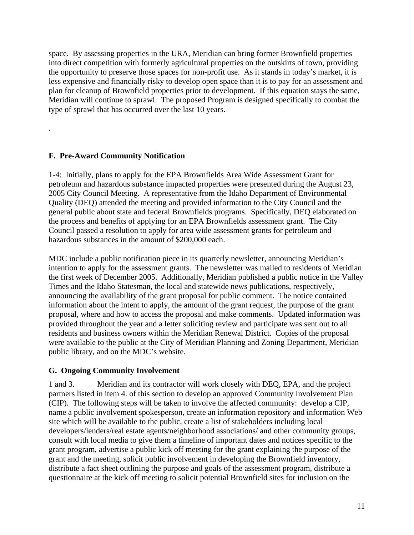space. By assessing properties in the URA, Meridian can bring former Brownfield properties into direct competition with formerly agricultural properties on the outskirts of town, providing the opportunity to preserve those spaces for non-profit use. As it stands in today's market, it is less expensive and financially risky to develop open space than it is to pay for an assessment and plan for cleanup of Brownfield properties prior to development. If this equation stays the same, Meridian will continue to sprawl. The proposed Program is designed specifically to combat the type of sprawl that has occurred over the last 10 years.

## **F. Pre-Award Community Notification**

.

1-4: Initially, plans to apply for the EPA Brownfields Area Wide Assessment Grant for petroleum and hazardous substance impacted properties were presented during the August 23, 2005 City Council Meeting. A representative from the Idaho Department of Environmental Quality (DEQ) attended the meeting and provided information to the City Council and the general public about state and federal Brownfields programs. Specifically, DEQ elaborated on the process and benefits of applying for an EPA Brownfields assessment grant. The City Council passed a resolution to apply for area wide assessment grants for petroleum and hazardous substances in the amount of \$200,000 each.

MDC include a public notification piece in its quarterly newsletter, announcing Meridian's intention to apply for the assessment grants. The newsletter was mailed to residents of Meridian the first week of December 2005. Additionally, Meridian published a public notice in the Valley Times and the Idaho Statesman, the local and statewide news publications, respectively, announcing the availability of the grant proposal for public comment. The notice contained information about the intent to apply, the amount of the grant request, the purpose of the grant proposal, where and how to access the proposal and make comments. Updated information was provided throughout the year and a letter soliciting review and participate was sent out to all residents and business owners within the Meridian Renewal District. Copies of the proposal were available to the public at the City of Meridian Planning and Zoning Department, Meridian public library, and on the MDC's website.

#### **G. Ongoing Community Involvement**

1 and 3. Meridian and its contractor will work closely with DEQ, EPA, and the project partners listed in item 4. of this section to develop an approved Community Involvement Plan (CIP). The following steps will be taken to involve the affected community: develop a CIP, name a public involvement spokesperson, create an information repository and information Web site which will be available to the public, create a list of stakeholders including local developers/lenders/real estate agents/neighborhood associations/ and other community groups, consult with local media to give them a timeline of important dates and notices specific to the grant program, advertise a public kick off meeting for the grant explaining the purpose of the grant and the meeting, solicit public involvement in developing the Brownfield inventory, distribute a fact sheet outlining the purpose and goals of the assessment program, distribute a questionnaire at the kick off meeting to solicit potential Brownfield sites for inclusion on the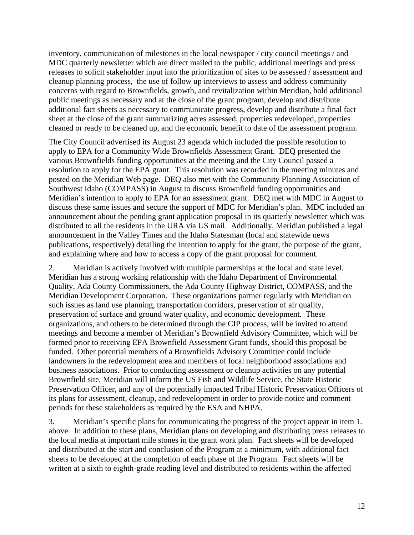inventory, communication of milestones in the local newspaper / city council meetings / and MDC quarterly newsletter which are direct mailed to the public, additional meetings and press releases to solicit stakeholder input into the prioritization of sites to be assessed / assessment and cleanup planning process, the use of follow up interviews to assess and address community concerns with regard to Brownfields, growth, and revitalization within Meridian, hold additional public meetings as necessary and at the close of the grant program, develop and distribute additional fact sheets as necessary to communicate progress, develop and distribute a final fact sheet at the close of the grant summarizing acres assessed, properties redeveloped, properties cleaned or ready to be cleaned up, and the economic benefit to date of the assessment program.

The City Council advertised its August 23 agenda which included the possible resolution to apply to EPA for a Community Wide Brownfields Assessment Grant. DEQ presented the various Brownfields funding opportunities at the meeting and the City Council passed a resolution to apply for the EPA grant. This resolution was recorded in the meeting minutes and posted on the Meridian Web page. DEQ also met with the Community Planning Association of Southwest Idaho (COMPASS) in August to discuss Brownfield funding opportunities and Meridian's intention to apply to EPA for an assessment grant. DEQ met with MDC in August to discuss these same issues and secure the support of MDC for Meridian's plan. MDC included an announcement about the pending grant application proposal in its quarterly newsletter which was distributed to all the residents in the URA via US mail. Additionally, Meridian published a legal announcement in the Valley Times and the Idaho Statesman (local and statewide news publications, respectively) detailing the intention to apply for the grant, the purpose of the grant, and explaining where and how to access a copy of the grant proposal for comment.

2. Meridian is actively involved with multiple partnerships at the local and state level. Meridian has a strong working relationship with the Idaho Department of Environmental Quality, Ada County Commissioners, the Ada County Highway District, COMPASS, and the Meridian Development Corporation. These organizations partner regularly with Meridian on such issues as land use planning, transportation corridors, preservation of air quality, preservation of surface and ground water quality, and economic development. These organizations, and others to be determined through the CIP process, will be invited to attend meetings and become a member of Meridian's Brownfield Advisory Committee, which will be formed prior to receiving EPA Brownfield Assessment Grant funds, should this proposal be funded. Other potential members of a Brownfields Advisory Committee could include landowners in the redevelopment area and members of local neighborhood associations and business associations. Prior to conducting assessment or cleanup activities on any potential Brownfield site, Meridian will inform the US Fish and Wildlife Service, the State Historic Preservation Officer, and any of the potentially impacted Tribal Historic Preservation Officers of its plans for assessment, cleanup, and redevelopment in order to provide notice and comment periods for these stakeholders as required by the ESA and NHPA.

3. Meridian's specific plans for communicating the progress of the project appear in item 1. above. In addition to these plans, Meridian plans on developing and distributing press releases to the local media at important mile stones in the grant work plan. Fact sheets will be developed and distributed at the start and conclusion of the Program at a minimum, with additional fact sheets to be developed at the completion of each phase of the Program. Fact sheets will be written at a sixth to eighth-grade reading level and distributed to residents within the affected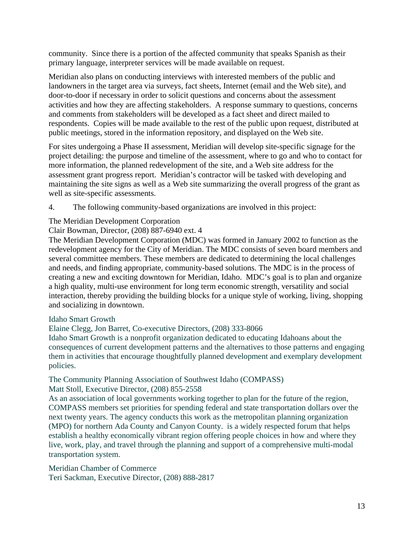community. Since there is a portion of the affected community that speaks Spanish as their primary language, interpreter services will be made available on request.

Meridian also plans on conducting interviews with interested members of the public and landowners in the target area via surveys, fact sheets, Internet (email and the Web site), and door-to-door if necessary in order to solicit questions and concerns about the assessment activities and how they are affecting stakeholders. A response summary to questions, concerns and comments from stakeholders will be developed as a fact sheet and direct mailed to respondents. Copies will be made available to the rest of the public upon request, distributed at public meetings, stored in the information repository, and displayed on the Web site.

For sites undergoing a Phase II assessment, Meridian will develop site-specific signage for the project detailing: the purpose and timeline of the assessment, where to go and who to contact for more information, the planned redevelopment of the site, and a Web site address for the assessment grant progress report. Meridian's contractor will be tasked with developing and maintaining the site signs as well as a Web site summarizing the overall progress of the grant as well as site-specific assessments.

4. The following community-based organizations are involved in this project:

## The Meridian Development Corporation

Clair Bowman, Director, (208) 887-6940 ext. 4

The Meridian Development Corporation (MDC) was formed in January 2002 to function as the redevelopment agency for the City of Meridian. The MDC consists of seven board members and several committee members. These members are dedicated to determining the local challenges and needs, and finding appropriate, community-based solutions. The MDC is in the process of creating a new and exciting downtown for Meridian, Idaho. MDC's goal is to plan and organize a high quality, multi-use environment for long term economic strength, versatility and social interaction, thereby providing the building blocks for a unique style of working, living, shopping and socializing in downtown.

#### Idaho Smart Growth

Elaine Clegg, Jon Barret, Co-executive Directors, (208) 333-8066

Idaho Smart Growth is a nonprofit organization dedicated to educating Idahoans about the consequences of current development patterns and the alternatives to those patterns and engaging them in activities that encourage thoughtfully planned development and exemplary development policies.

#### The Community Planning Association of Southwest Idaho (COMPASS) Matt Stoll, Executive Director, (208) 855-2558

As an association of local governments working together to plan for the future of the region, COMPASS members set priorities for spending federal and state transportation dollars over the next twenty years. The agency conducts this work as the metropolitan planning organization (MPO) for northern Ada County and Canyon County. is a widely respected forum that helps establish a healthy economically vibrant region offering people choices in how and where they live, work, play, and travel through the planning and support of a comprehensive multi-modal transportation system.

Meridian Chamber of Commerce Teri Sackman, Executive Director, (208) 888-2817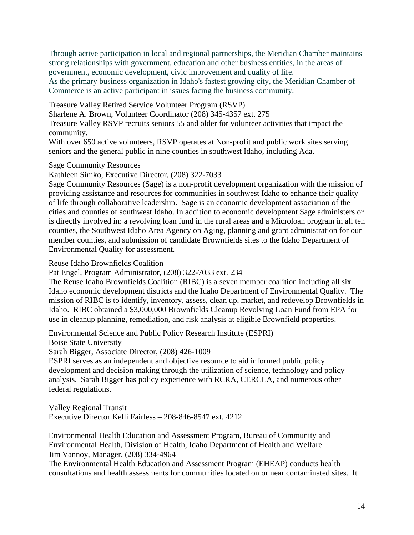Through active participation in local and regional partnerships, the Meridian Chamber maintains strong relationships with government, education and other business entities, in the areas of government, economic development, civic improvement and quality of life.

As the primary business organization in Idaho's fastest growing city, the Meridian Chamber of Commerce is an active participant in issues facing the business community.

Treasure Valley Retired Service Volunteer Program (RSVP)

Sharlene A. Brown, Volunteer Coordinator (208) 345-4357 ext. 275

Treasure Valley RSVP recruits seniors 55 and older for volunteer activities that impact the community.

With over 650 active volunteers, RSVP operates at Non-profit and public work sites serving seniors and the general public in nine counties in southwest Idaho, including Ada.

Sage Community Resources

Kathleen Simko, Executive Director, (208) 322-7033

Sage Community Resources (Sage) is a non-profit development organization with the mission of providing assistance and resources for communities in southwest Idaho to enhance their quality of life through collaborative leadership. Sage is an economic development association of the cities and counties of southwest Idaho. In addition to economic development Sage administers or is directly involved in: a revolving loan fund in the rural areas and a Microloan program in all ten counties, the Southwest Idaho Area Agency on Aging, planning and grant administration for our member counties, and submission of candidate Brownfields sites to the Idaho Department of Environmental Quality for assessment.

Reuse Idaho Brownfields Coalition

Pat Engel, Program Administrator, (208) 322-7033 ext. 234

The Reuse Idaho Brownfields Coalition (RIBC) is a seven member coalition including all six Idaho economic development districts and the Idaho Department of Environmental Quality. The mission of RIBC is to identify, inventory, assess, clean up, market, and redevelop Brownfields in Idaho. RIBC obtained a \$3,000,000 Brownfields Cleanup Revolving Loan Fund from EPA for use in cleanup planning, remediation, and risk analysis at eligible Brownfield properties.

Environmental Science and Public Policy Research Institute (ESPRI)

Boise State University

Sarah Bigger, Associate Director, (208) 426-1009

ESPRI serves as an independent and objective resource to aid informed public policy development and decision making through the utilization of science, technology and policy analysis. Sarah Bigger has policy experience with RCRA, CERCLA, and numerous other federal regulations.

Valley Regional Transit Executive Director Kelli Fairless – 208-846-8547 ext. 4212

Environmental Health Education and Assessment Program, Bureau of Community and Environmental Health, Division of Health, Idaho Department of Health and Welfare Jim Vannoy, Manager, (208) 334-4964

The Environmental Health Education and Assessment Program (EHEAP) conducts health consultations and health assessments for communities located on or near contaminated sites. It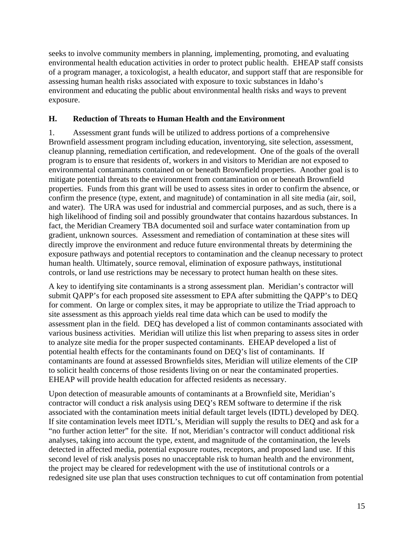seeks to involve community members in planning, implementing, promoting, and evaluating environmental health education activities in order to protect public health. EHEAP staff consists of a program manager, a toxicologist, a health educator, and support staff that are responsible for assessing human health risks associated with exposure to toxic substances in Idaho's environment and educating the public about environmental health risks and ways to prevent exposure.

### **H. Reduction of Threats to Human Health and the Environment**

1. Assessment grant funds will be utilized to address portions of a comprehensive Brownfield assessment program including education, inventorying, site selection, assessment, cleanup planning, remediation certification, and redevelopment. One of the goals of the overall program is to ensure that residents of, workers in and visitors to Meridian are not exposed to environmental contaminants contained on or beneath Brownfield properties. Another goal is to mitigate potential threats to the environment from contamination on or beneath Brownfield properties. Funds from this grant will be used to assess sites in order to confirm the absence, or confirm the presence (type, extent, and magnitude) of contamination in all site media (air, soil, and water). The URA was used for industrial and commercial purposes, and as such, there is a high likelihood of finding soil and possibly groundwater that contains hazardous substances. In fact, the Meridian Creamery TBA documented soil and surface water contamination from up gradient, unknown sources. Assessment and remediation of contamination at these sites will directly improve the environment and reduce future environmental threats by determining the exposure pathways and potential receptors to contamination and the cleanup necessary to protect human health. Ultimately, source removal, elimination of exposure pathways, institutional controls, or land use restrictions may be necessary to protect human health on these sites.

A key to identifying site contaminants is a strong assessment plan. Meridian's contractor will submit QAPP's for each proposed site assessment to EPA after submitting the QAPP's to DEQ for comment. On large or complex sites, it may be appropriate to utilize the Triad approach to site assessment as this approach yields real time data which can be used to modify the assessment plan in the field. DEQ has developed a list of common contaminants associated with various business activities. Meridian will utilize this list when preparing to assess sites in order to analyze site media for the proper suspected contaminants. EHEAP developed a list of potential health effects for the contaminants found on DEQ's list of contaminants. If contaminants are found at assessed Brownfields sites, Meridian will utilize elements of the CIP to solicit health concerns of those residents living on or near the contaminated properties. EHEAP will provide health education for affected residents as necessary.

Upon detection of measurable amounts of contaminants at a Brownfield site, Meridian's contractor will conduct a risk analysis using DEQ's REM software to determine if the risk associated with the contamination meets initial default target levels (IDTL) developed by DEQ. If site contamination levels meet IDTL's, Meridian will supply the results to DEQ and ask for a "no further action letter" for the site. If not, Meridian's contractor will conduct additional risk analyses, taking into account the type, extent, and magnitude of the contamination, the levels detected in affected media, potential exposure routes, receptors, and proposed land use. If this second level of risk analysis poses no unacceptable risk to human health and the environment, the project may be cleared for redevelopment with the use of institutional controls or a redesigned site use plan that uses construction techniques to cut off contamination from potential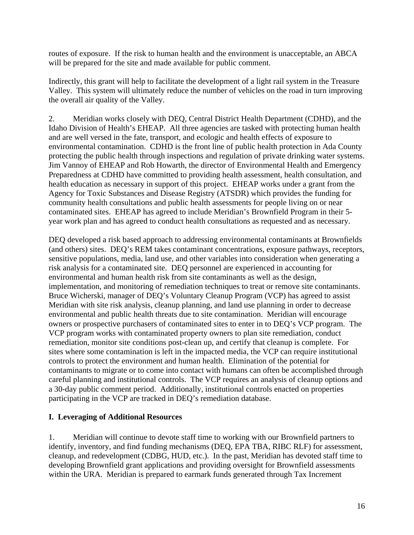routes of exposure. If the risk to human health and the environment is unacceptable, an ABCA will be prepared for the site and made available for public comment.

Indirectly, this grant will help to facilitate the development of a light rail system in the Treasure Valley. This system will ultimately reduce the number of vehicles on the road in turn improving the overall air quality of the Valley.

2. Meridian works closely with DEQ, Central District Health Department (CDHD), and the Idaho Division of Health's EHEAP. All three agencies are tasked with protecting human health and are well versed in the fate, transport, and ecologic and health effects of exposure to environmental contamination. CDHD is the front line of public health protection in Ada County protecting the public health through inspections and regulation of private drinking water systems. Jim Vannoy of EHEAP and Rob Howarth, the director of Environmental Health and Emergency Preparedness at CDHD have committed to providing health assessment, health consultation, and health education as necessary in support of this project. EHEAP works under a grant from the Agency for Toxic Substances and Disease Registry (ATSDR) which provides the funding for community health consultations and public health assessments for people living on or near contaminated sites. EHEAP has agreed to include Meridian's Brownfield Program in their 5 year work plan and has agreed to conduct health consultations as requested and as necessary.

DEQ developed a risk based approach to addressing environmental contaminants at Brownfields (and others) sites. DEQ's REM takes contaminant concentrations, exposure pathways, receptors, sensitive populations, media, land use, and other variables into consideration when generating a risk analysis for a contaminated site. DEQ personnel are experienced in accounting for environmental and human health risk from site contaminants as well as the design, implementation, and monitoring of remediation techniques to treat or remove site contaminants. Bruce Wicherski, manager of DEQ's Voluntary Cleanup Program (VCP) has agreed to assist Meridian with site risk analysis, cleanup planning, and land use planning in order to decrease environmental and public health threats due to site contamination. Meridian will encourage owners or prospective purchasers of contaminated sites to enter in to DEQ's VCP program. The VCP program works with contaminated property owners to plan site remediation, conduct remediation, monitor site conditions post-clean up, and certify that cleanup is complete. For sites where some contamination is left in the impacted media, the VCP can require institutional controls to protect the environment and human health. Elimination of the potential for contaminants to migrate or to come into contact with humans can often be accomplished through careful planning and institutional controls. The VCP requires an analysis of cleanup options and a 30-day public comment period. Additionally, institutional controls enacted on properties participating in the VCP are tracked in DEQ's remediation database.

#### **I. Leveraging of Additional Resources**

1. Meridian will continue to devote staff time to working with our Brownfield partners to identify, inventory, and find funding mechanisms (DEQ, EPA TBA, RIBC RLF) for assessment, cleanup, and redevelopment (CDBG, HUD, etc.). In the past, Meridian has devoted staff time to developing Brownfield grant applications and providing oversight for Brownfield assessments within the URA. Meridian is prepared to earmark funds generated through Tax Increment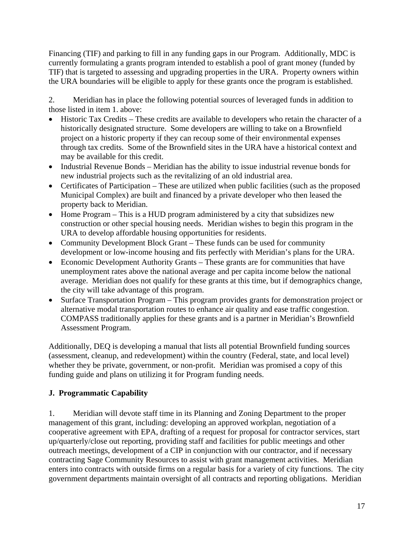Financing (TIF) and parking to fill in any funding gaps in our Program. Additionally, MDC is currently formulating a grants program intended to establish a pool of grant money (funded by TIF) that is targeted to assessing and upgrading properties in the URA. Property owners within the URA boundaries will be eligible to apply for these grants once the program is established.

2. Meridian has in place the following potential sources of leveraged funds in addition to those listed in item 1. above:

- Historic Tax Credits These credits are available to developers who retain the character of a historically designated structure. Some developers are willing to take on a Brownfield project on a historic property if they can recoup some of their environmental expenses through tax credits. Some of the Brownfield sites in the URA have a historical context and may be available for this credit.
- Industrial Revenue Bonds Meridian has the ability to issue industrial revenue bonds for new industrial projects such as the revitalizing of an old industrial area.
- Certificates of Participation These are utilized when public facilities (such as the proposed Municipal Complex) are built and financed by a private developer who then leased the property back to Meridian.
- Home Program This is a HUD program administered by a city that subsidizes new construction or other special housing needs. Meridian wishes to begin this program in the URA to develop affordable housing opportunities for residents.
- Community Development Block Grant These funds can be used for community development or low-income housing and fits perfectly with Meridian's plans for the URA.
- Economic Development Authority Grants These grants are for communities that have unemployment rates above the national average and per capita income below the national average. Meridian does not qualify for these grants at this time, but if demographics change, the city will take advantage of this program.
- Surface Transportation Program This program provides grants for demonstration project or alternative modal transportation routes to enhance air quality and ease traffic congestion. COMPASS traditionally applies for these grants and is a partner in Meridian's Brownfield Assessment Program.

Additionally, DEQ is developing a manual that lists all potential Brownfield funding sources (assessment, cleanup, and redevelopment) within the country (Federal, state, and local level) whether they be private, government, or non-profit. Meridian was promised a copy of this funding guide and plans on utilizing it for Program funding needs.

# **J. Programmatic Capability**

1. Meridian will devote staff time in its Planning and Zoning Department to the proper management of this grant, including: developing an approved workplan, negotiation of a cooperative agreement with EPA, drafting of a request for proposal for contractor services, start up/quarterly/close out reporting, providing staff and facilities for public meetings and other outreach meetings, development of a CIP in conjunction with our contractor, and if necessary contracting Sage Community Resources to assist with grant management activities. Meridian enters into contracts with outside firms on a regular basis for a variety of city functions. The city government departments maintain oversight of all contracts and reporting obligations. Meridian